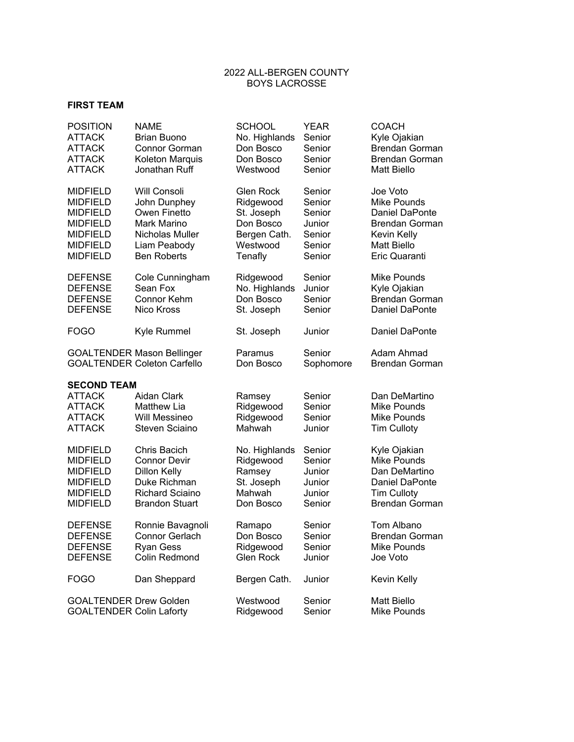## 2022 ALL-BERGEN COUNTY BOYS LACROSSE

## **FIRST TEAM**

| <b>POSITION</b>                 | <b>NAME</b>                        | <b>SCHOOL</b>    | <b>YEAR</b> | <b>COACH</b>          |
|---------------------------------|------------------------------------|------------------|-------------|-----------------------|
| <b>ATTACK</b>                   | <b>Brian Buono</b>                 | No. Highlands    | Senior      | Kyle Ojakian          |
| <b>ATTACK</b>                   | Connor Gorman                      | Don Bosco        | Senior      | <b>Brendan Gorman</b> |
| <b>ATTACK</b>                   | Koleton Marquis                    | Don Bosco        | Senior      | <b>Brendan Gorman</b> |
| <b>ATTACK</b>                   | Jonathan Ruff                      | Westwood         | Senior      | <b>Matt Biello</b>    |
| <b>MIDFIELD</b>                 | Will Consoli                       | Glen Rock        | Senior      | Joe Voto              |
| <b>MIDFIELD</b>                 | John Dunphey                       | Ridgewood        | Senior      | Mike Pounds           |
| <b>MIDFIELD</b>                 | Owen Finetto                       | St. Joseph       | Senior      | Daniel DaPonte        |
| <b>MIDFIELD</b>                 | <b>Mark Marino</b>                 | Don Bosco        | Junior      | Brendan Gorman        |
| <b>MIDFIELD</b>                 | Nicholas Muller                    | Bergen Cath.     | Senior      | Kevin Kelly           |
| <b>MIDFIELD</b>                 | Liam Peabody                       | Westwood         | Senior      | <b>Matt Biello</b>    |
| <b>MIDFIELD</b>                 | <b>Ben Roberts</b>                 | Tenafly          | Senior      | Eric Quaranti         |
| <b>DEFENSE</b>                  | Cole Cunningham                    | Ridgewood        | Senior      | Mike Pounds           |
| <b>DEFENSE</b>                  | Sean Fox                           | No. Highlands    | Junior      | Kyle Ojakian          |
| <b>DEFENSE</b>                  | <b>Connor Kehm</b>                 | Don Bosco        | Senior      | <b>Brendan Gorman</b> |
| <b>DEFENSE</b>                  | Nico Kross                         | St. Joseph       | Senior      | Daniel DaPonte        |
| <b>FOGO</b>                     | Kyle Rummel                        | St. Joseph       | Junior      | Daniel DaPonte        |
|                                 | <b>GOALTENDER Mason Bellinger</b>  | Paramus          | Senior      | Adam Ahmad            |
|                                 | <b>GOALTENDER Coleton Carfello</b> | Don Bosco        | Sophomore   | <b>Brendan Gorman</b> |
| <b>SECOND TEAM</b>              |                                    |                  |             |                       |
| <b>ATTACK</b>                   | Aidan Clark                        | Ramsey           | Senior      | Dan DeMartino         |
| <b>ATTACK</b>                   | <b>Matthew Lia</b>                 | Ridgewood        | Senior      | Mike Pounds           |
| ATTACK                          | Will Messineo                      | Ridgewood        | Senior      | Mike Pounds           |
| <b>ATTACK</b>                   | Steven Sciaino                     | Mahwah           | Junior      | <b>Tim Culloty</b>    |
| <b>MIDFIELD</b>                 | Chris Bacich                       | No. Highlands    | Senior      | Kyle Ojakian          |
| <b>MIDFIELD</b>                 | <b>Connor Devir</b>                | Ridgewood        | Senior      | <b>Mike Pounds</b>    |
| <b>MIDFIELD</b>                 | <b>Dillon Kelly</b>                | Ramsey           | Junior      | Dan DeMartino         |
| <b>MIDFIELD</b>                 | Duke Richman                       | St. Joseph       | Junior      | Daniel DaPonte        |
| <b>MIDFIELD</b>                 | <b>Richard Sciaino</b>             | Mahwah           | Junior      | <b>Tim Culloty</b>    |
| <b>MIDFIELD</b>                 | <b>Brandon Stuart</b>              | Don Bosco        | Senior      | <b>Brendan Gorman</b> |
| <b>DEFENSE</b>                  | Ronnie Bavagnoli                   | Ramapo           | Senior      | <b>Tom Albano</b>     |
| <b>DEFENSE</b>                  | Connor Gerlach                     | Don Bosco        | Senior      | Brendan Gorman        |
| <b>DEFENSE</b>                  | <b>Ryan Gess</b>                   | Ridgewood        | Senior      | <b>Mike Pounds</b>    |
| <b>DEFENSE</b>                  | Colin Redmond                      | <b>Glen Rock</b> | Junior      | Joe Voto              |
| <b>FOGO</b>                     | Dan Sheppard                       | Bergen Cath.     | Junior      | Kevin Kelly           |
| <b>GOALTENDER Drew Golden</b>   |                                    | Westwood         | Senior      | <b>Matt Biello</b>    |
| <b>GOALTENDER Colin Laforty</b> |                                    | Ridgewood        | Senior      | Mike Pounds           |